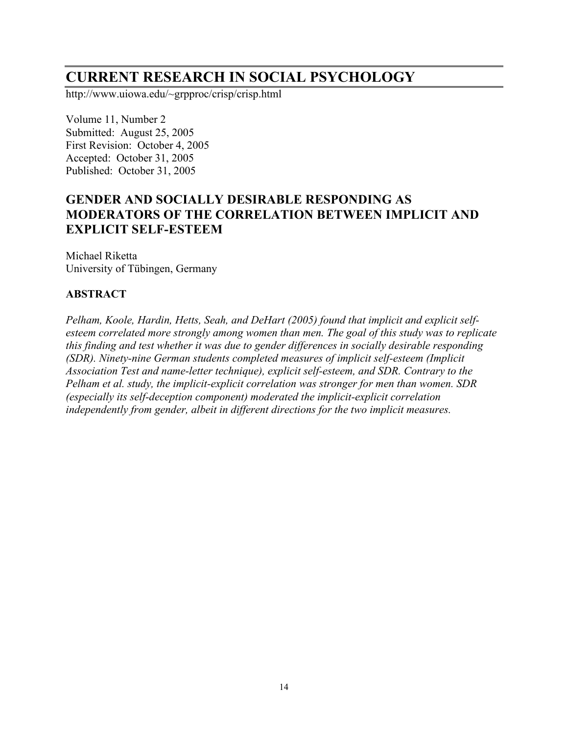# **CURRENT RESEARCH IN SOCIAL PSYCHOLOGY**

http://www.uiowa.edu/~grpproc/crisp/crisp.html

Volume 11, Number 2 Submitted: August 25, 2005 First Revision: October 4, 2005 Accepted: October 31, 2005 Published: October 31, 2005

# **GENDER AND SOCIALLY DESIRABLE RESPONDING AS MODERATORS OF THE CORRELATION BETWEEN IMPLICIT AND EXPLICIT SELF-ESTEEM**

Michael Riketta University of Tübingen, Germany

#### **ABSTRACT**

*Pelham, Koole, Hardin, Hetts, Seah, and DeHart (2005) found that implicit and explicit selfesteem correlated more strongly among women than men. The goal of this study was to replicate this finding and test whether it was due to gender differences in socially desirable responding (SDR). Ninety-nine German students completed measures of implicit self-esteem (Implicit Association Test and name-letter technique), explicit self-esteem, and SDR. Contrary to the Pelham et al. study, the implicit-explicit correlation was stronger for men than women. SDR (especially its self-deception component) moderated the implicit-explicit correlation independently from gender, albeit in different directions for the two implicit measures.*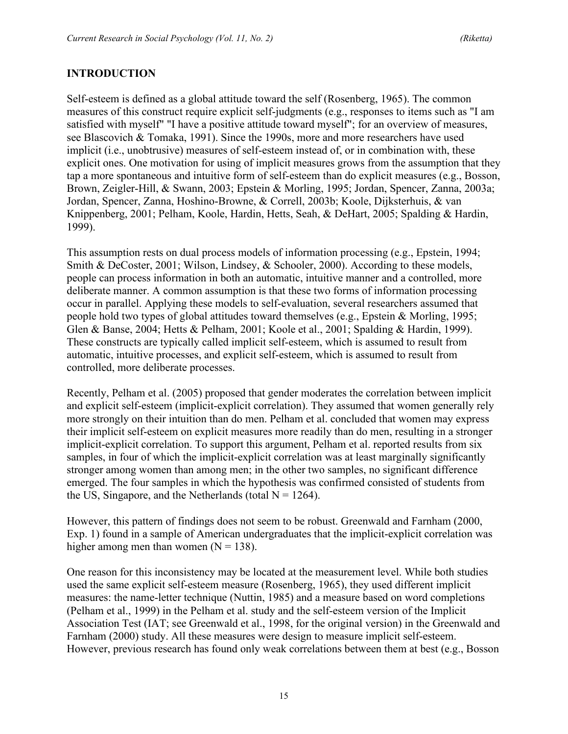## **INTRODUCTION**

Self-esteem is defined as a global attitude toward the self (Rosenberg, 1965). The common measures of this construct require explicit self-judgments (e.g., responses to items such as "I am satisfied with myself" "I have a positive attitude toward myself"; for an overview of measures, see Blascovich & Tomaka, 1991). Since the 1990s, more and more researchers have used implicit (i.e., unobtrusive) measures of self-esteem instead of, or in combination with, these explicit ones. One motivation for using of implicit measures grows from the assumption that they tap a more spontaneous and intuitive form of self-esteem than do explicit measures (e.g., Bosson, Brown, Zeigler-Hill, & Swann, 2003; Epstein & Morling, 1995; Jordan, Spencer, Zanna, 2003a; Jordan, Spencer, Zanna, Hoshino-Browne, & Correll, 2003b; Koole, Dijksterhuis, & van Knippenberg, 2001; Pelham, Koole, Hardin, Hetts, Seah, & DeHart, 2005; Spalding & Hardin, 1999).

This assumption rests on dual process models of information processing (e.g., Epstein, 1994; Smith & DeCoster, 2001; Wilson, Lindsey, & Schooler, 2000). According to these models, people can process information in both an automatic, intuitive manner and a controlled, more deliberate manner. A common assumption is that these two forms of information processing occur in parallel. Applying these models to self-evaluation, several researchers assumed that people hold two types of global attitudes toward themselves (e.g., Epstein & Morling, 1995; Glen & Banse, 2004; Hetts & Pelham, 2001; Koole et al., 2001; Spalding & Hardin, 1999). These constructs are typically called implicit self-esteem, which is assumed to result from automatic, intuitive processes, and explicit self-esteem, which is assumed to result from controlled, more deliberate processes.

Recently, Pelham et al. (2005) proposed that gender moderates the correlation between implicit and explicit self-esteem (implicit-explicit correlation). They assumed that women generally rely more strongly on their intuition than do men. Pelham et al. concluded that women may express their implicit self-esteem on explicit measures more readily than do men, resulting in a stronger implicit-explicit correlation. To support this argument, Pelham et al. reported results from six samples, in four of which the implicit-explicit correlation was at least marginally significantly stronger among women than among men; in the other two samples, no significant difference emerged. The four samples in which the hypothesis was confirmed consisted of students from the US, Singapore, and the Netherlands (total  $N = 1264$ ).

However, this pattern of findings does not seem to be robust. Greenwald and Farnham (2000, Exp. 1) found in a sample of American undergraduates that the implicit-explicit correlation was higher among men than women  $(N = 138)$ .

One reason for this inconsistency may be located at the measurement level. While both studies used the same explicit self-esteem measure (Rosenberg, 1965), they used different implicit measures: the name-letter technique (Nuttin, 1985) and a measure based on word completions (Pelham et al., 1999) in the Pelham et al. study and the self-esteem version of the Implicit Association Test (IAT; see Greenwald et al., 1998, for the original version) in the Greenwald and Farnham (2000) study. All these measures were design to measure implicit self-esteem. However, previous research has found only weak correlations between them at best (e.g., Bosson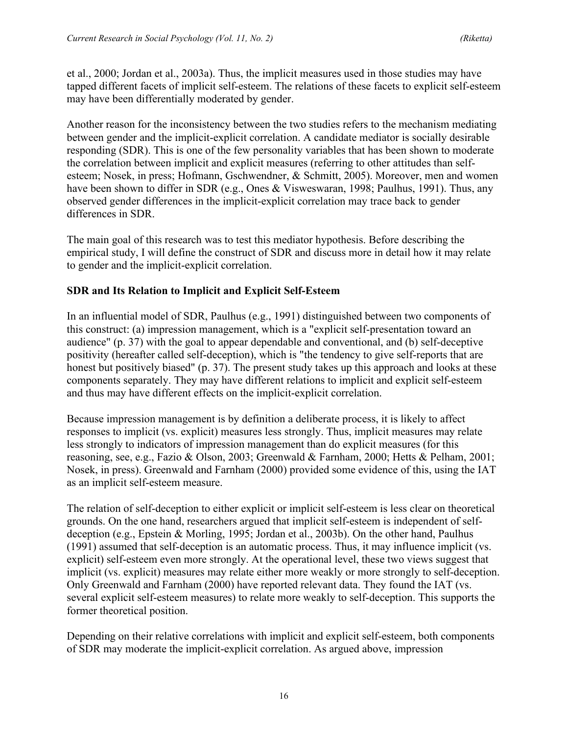et al., 2000; Jordan et al., 2003a). Thus, the implicit measures used in those studies may have tapped different facets of implicit self-esteem. The relations of these facets to explicit self-esteem may have been differentially moderated by gender.

Another reason for the inconsistency between the two studies refers to the mechanism mediating between gender and the implicit-explicit correlation. A candidate mediator is socially desirable responding (SDR). This is one of the few personality variables that has been shown to moderate the correlation between implicit and explicit measures (referring to other attitudes than selfesteem; Nosek, in press; Hofmann, Gschwendner, & Schmitt, 2005). Moreover, men and women have been shown to differ in SDR (e.g., Ones & Visweswaran, 1998; Paulhus, 1991). Thus, any observed gender differences in the implicit-explicit correlation may trace back to gender differences in SDR.

The main goal of this research was to test this mediator hypothesis. Before describing the empirical study, I will define the construct of SDR and discuss more in detail how it may relate to gender and the implicit-explicit correlation.

## **SDR and Its Relation to Implicit and Explicit Self-Esteem**

In an influential model of SDR, Paulhus (e.g., 1991) distinguished between two components of this construct: (a) impression management, which is a "explicit self-presentation toward an audience" (p. 37) with the goal to appear dependable and conventional, and (b) self-deceptive positivity (hereafter called self-deception), which is "the tendency to give self-reports that are honest but positively biased" (p. 37). The present study takes up this approach and looks at these components separately. They may have different relations to implicit and explicit self-esteem and thus may have different effects on the implicit-explicit correlation.

Because impression management is by definition a deliberate process, it is likely to affect responses to implicit (vs. explicit) measures less strongly. Thus, implicit measures may relate less strongly to indicators of impression management than do explicit measures (for this reasoning, see, e.g., Fazio & Olson, 2003; Greenwald & Farnham, 2000; Hetts & Pelham, 2001; Nosek, in press). Greenwald and Farnham (2000) provided some evidence of this, using the IAT as an implicit self-esteem measure.

The relation of self-deception to either explicit or implicit self-esteem is less clear on theoretical grounds. On the one hand, researchers argued that implicit self-esteem is independent of selfdeception (e.g., Epstein & Morling, 1995; Jordan et al., 2003b). On the other hand, Paulhus (1991) assumed that self-deception is an automatic process. Thus, it may influence implicit (vs. explicit) self-esteem even more strongly. At the operational level, these two views suggest that implicit (vs. explicit) measures may relate either more weakly or more strongly to self-deception. Only Greenwald and Farnham (2000) have reported relevant data. They found the IAT (vs. several explicit self-esteem measures) to relate more weakly to self-deception. This supports the former theoretical position.

Depending on their relative correlations with implicit and explicit self-esteem, both components of SDR may moderate the implicit-explicit correlation. As argued above, impression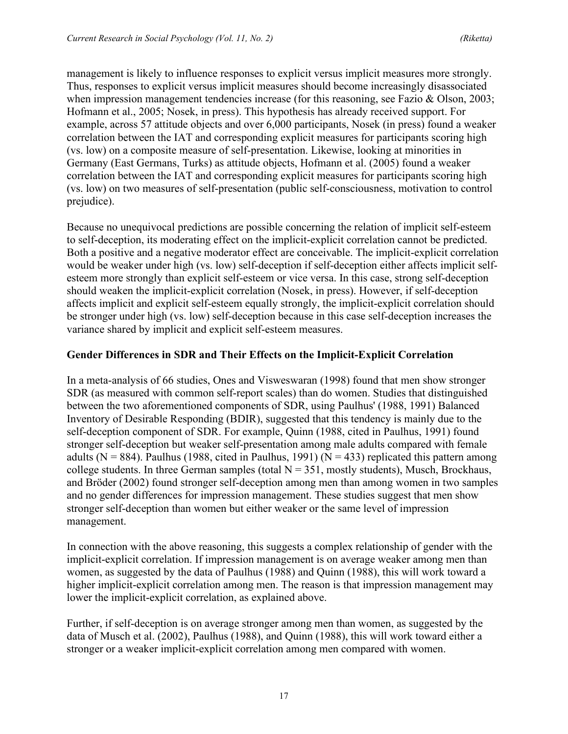management is likely to influence responses to explicit versus implicit measures more strongly. Thus, responses to explicit versus implicit measures should become increasingly disassociated when impression management tendencies increase (for this reasoning, see Fazio & Olson, 2003; Hofmann et al., 2005; Nosek, in press). This hypothesis has already received support. For example, across 57 attitude objects and over 6,000 participants, Nosek (in press) found a weaker correlation between the IAT and corresponding explicit measures for participants scoring high (vs. low) on a composite measure of self-presentation. Likewise, looking at minorities in Germany (East Germans, Turks) as attitude objects, Hofmann et al. (2005) found a weaker correlation between the IAT and corresponding explicit measures for participants scoring high (vs. low) on two measures of self-presentation (public self-consciousness, motivation to control prejudice).

Because no unequivocal predictions are possible concerning the relation of implicit self-esteem to self-deception, its moderating effect on the implicit-explicit correlation cannot be predicted. Both a positive and a negative moderator effect are conceivable. The implicit-explicit correlation would be weaker under high (vs. low) self-deception if self-deception either affects implicit selfesteem more strongly than explicit self-esteem or vice versa. In this case, strong self-deception should weaken the implicit-explicit correlation (Nosek, in press). However, if self-deception affects implicit and explicit self-esteem equally strongly, the implicit-explicit correlation should be stronger under high (vs. low) self-deception because in this case self-deception increases the variance shared by implicit and explicit self-esteem measures.

## **Gender Differences in SDR and Their Effects on the Implicit-Explicit Correlation**

In a meta-analysis of 66 studies, Ones and Visweswaran (1998) found that men show stronger SDR (as measured with common self-report scales) than do women. Studies that distinguished between the two aforementioned components of SDR, using Paulhus' (1988, 1991) Balanced Inventory of Desirable Responding (BDIR), suggested that this tendency is mainly due to the self-deception component of SDR. For example, Quinn (1988, cited in Paulhus, 1991) found stronger self-deception but weaker self-presentation among male adults compared with female adults ( $N = 884$ ). Paulhus (1988, cited in Paulhus, 1991) ( $N = 433$ ) replicated this pattern among college students. In three German samples (total  $N = 351$ , mostly students), Musch, Brockhaus, and Bröder (2002) found stronger self-deception among men than among women in two samples and no gender differences for impression management. These studies suggest that men show stronger self-deception than women but either weaker or the same level of impression management.

In connection with the above reasoning, this suggests a complex relationship of gender with the implicit-explicit correlation. If impression management is on average weaker among men than women, as suggested by the data of Paulhus (1988) and Quinn (1988), this will work toward a higher implicit-explicit correlation among men. The reason is that impression management may lower the implicit-explicit correlation, as explained above.

Further, if self-deception is on average stronger among men than women, as suggested by the data of Musch et al. (2002), Paulhus (1988), and Quinn (1988), this will work toward either a stronger or a weaker implicit-explicit correlation among men compared with women.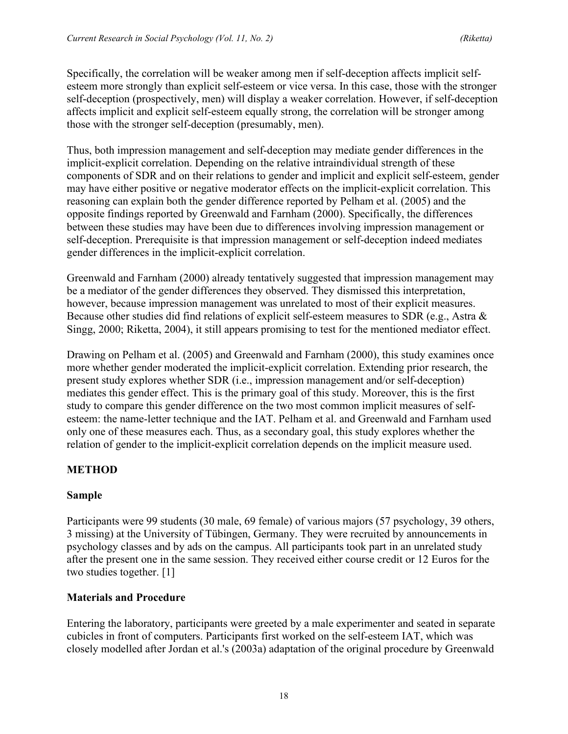Specifically, the correlation will be weaker among men if self-deception affects implicit selfesteem more strongly than explicit self-esteem or vice versa. In this case, those with the stronger self-deception (prospectively, men) will display a weaker correlation. However, if self-deception affects implicit and explicit self-esteem equally strong, the correlation will be stronger among those with the stronger self-deception (presumably, men).

Thus, both impression management and self-deception may mediate gender differences in the implicit-explicit correlation. Depending on the relative intraindividual strength of these components of SDR and on their relations to gender and implicit and explicit self-esteem, gender may have either positive or negative moderator effects on the implicit-explicit correlation. This reasoning can explain both the gender difference reported by Pelham et al. (2005) and the opposite findings reported by Greenwald and Farnham (2000). Specifically, the differences between these studies may have been due to differences involving impression management or self-deception. Prerequisite is that impression management or self-deception indeed mediates gender differences in the implicit-explicit correlation.

Greenwald and Farnham (2000) already tentatively suggested that impression management may be a mediator of the gender differences they observed. They dismissed this interpretation, however, because impression management was unrelated to most of their explicit measures. Because other studies did find relations of explicit self-esteem measures to SDR (e.g., Astra & Singg, 2000; Riketta, 2004), it still appears promising to test for the mentioned mediator effect.

Drawing on Pelham et al. (2005) and Greenwald and Farnham (2000), this study examines once more whether gender moderated the implicit-explicit correlation. Extending prior research, the present study explores whether SDR (i.e., impression management and/or self-deception) mediates this gender effect. This is the primary goal of this study. Moreover, this is the first study to compare this gender difference on the two most common implicit measures of selfesteem: the name-letter technique and the IAT. Pelham et al. and Greenwald and Farnham used only one of these measures each. Thus, as a secondary goal, this study explores whether the relation of gender to the implicit-explicit correlation depends on the implicit measure used.

# **METHOD**

# **Sample**

Participants were 99 students (30 male, 69 female) of various majors (57 psychology, 39 others, 3 missing) at the University of Tübingen, Germany. They were recruited by announcements in psychology classes and by ads on the campus. All participants took part in an unrelated study after the present one in the same session. They received either course credit or 12 Euros for the two studies together. [1]

# **Materials and Procedure**

Entering the laboratory, participants were greeted by a male experimenter and seated in separate cubicles in front of computers. Participants first worked on the self-esteem IAT, which was closely modelled after Jordan et al.'s (2003a) adaptation of the original procedure by Greenwald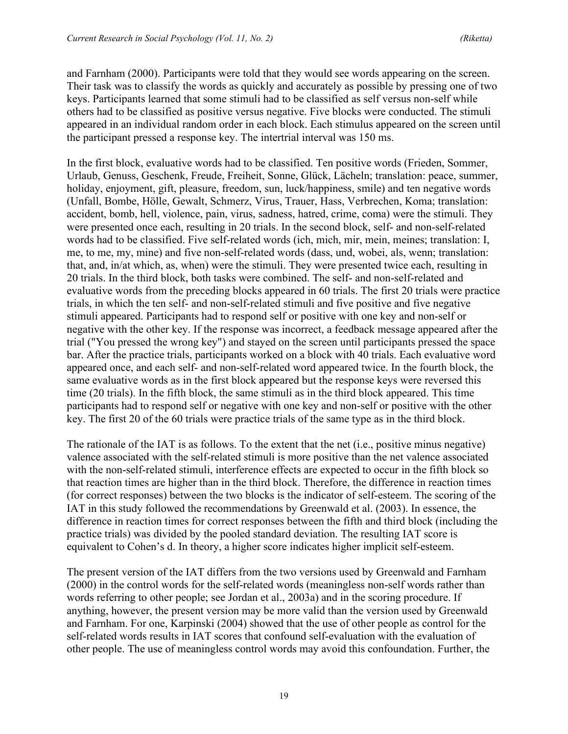and Farnham (2000). Participants were told that they would see words appearing on the screen. Their task was to classify the words as quickly and accurately as possible by pressing one of two keys. Participants learned that some stimuli had to be classified as self versus non-self while others had to be classified as positive versus negative. Five blocks were conducted. The stimuli appeared in an individual random order in each block. Each stimulus appeared on the screen until the participant pressed a response key. The intertrial interval was 150 ms.

In the first block, evaluative words had to be classified. Ten positive words (Frieden, Sommer, Urlaub, Genuss, Geschenk, Freude, Freiheit, Sonne, Glück, Lächeln; translation: peace, summer, holiday, enjoyment, gift, pleasure, freedom, sun, luck/happiness, smile) and ten negative words (Unfall, Bombe, Hölle, Gewalt, Schmerz, Virus, Trauer, Hass, Verbrechen, Koma; translation: accident, bomb, hell, violence, pain, virus, sadness, hatred, crime, coma) were the stimuli. They were presented once each, resulting in 20 trials. In the second block, self- and non-self-related words had to be classified. Five self-related words (ich, mich, mir, mein, meines; translation: I, me, to me, my, mine) and five non-self-related words (dass, und, wobei, als, wenn; translation: that, and, in/at which, as, when) were the stimuli. They were presented twice each, resulting in 20 trials. In the third block, both tasks were combined. The self- and non-self-related and evaluative words from the preceding blocks appeared in 60 trials. The first 20 trials were practice trials, in which the ten self- and non-self-related stimuli and five positive and five negative stimuli appeared. Participants had to respond self or positive with one key and non-self or negative with the other key. If the response was incorrect, a feedback message appeared after the trial ("You pressed the wrong key") and stayed on the screen until participants pressed the space bar. After the practice trials, participants worked on a block with 40 trials. Each evaluative word appeared once, and each self- and non-self-related word appeared twice. In the fourth block, the same evaluative words as in the first block appeared but the response keys were reversed this time (20 trials). In the fifth block, the same stimuli as in the third block appeared. This time participants had to respond self or negative with one key and non-self or positive with the other key. The first 20 of the 60 trials were practice trials of the same type as in the third block.

The rationale of the IAT is as follows. To the extent that the net (i.e., positive minus negative) valence associated with the self-related stimuli is more positive than the net valence associated with the non-self-related stimuli, interference effects are expected to occur in the fifth block so that reaction times are higher than in the third block. Therefore, the difference in reaction times (for correct responses) between the two blocks is the indicator of self-esteem. The scoring of the IAT in this study followed the recommendations by Greenwald et al. (2003). In essence, the difference in reaction times for correct responses between the fifth and third block (including the practice trials) was divided by the pooled standard deviation. The resulting IAT score is equivalent to Cohen's d. In theory, a higher score indicates higher implicit self-esteem.

The present version of the IAT differs from the two versions used by Greenwald and Farnham (2000) in the control words for the self-related words (meaningless non-self words rather than words referring to other people; see Jordan et al., 2003a) and in the scoring procedure. If anything, however, the present version may be more valid than the version used by Greenwald and Farnham. For one, Karpinski (2004) showed that the use of other people as control for the self-related words results in IAT scores that confound self-evaluation with the evaluation of other people. The use of meaningless control words may avoid this confoundation. Further, the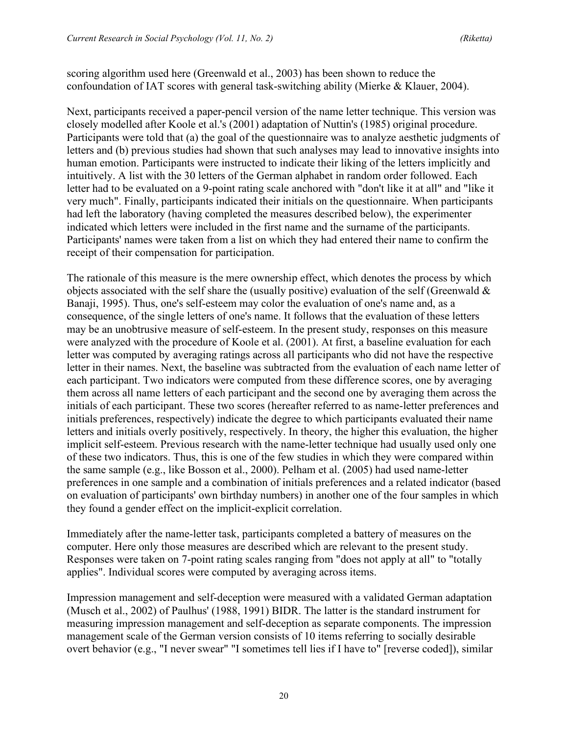scoring algorithm used here (Greenwald et al., 2003) has been shown to reduce the confoundation of IAT scores with general task-switching ability (Mierke & Klauer, 2004).

Next, participants received a paper-pencil version of the name letter technique. This version was closely modelled after Koole et al.'s (2001) adaptation of Nuttin's (1985) original procedure. Participants were told that (a) the goal of the questionnaire was to analyze aesthetic judgments of letters and (b) previous studies had shown that such analyses may lead to innovative insights into human emotion. Participants were instructed to indicate their liking of the letters implicitly and intuitively. A list with the 30 letters of the German alphabet in random order followed. Each letter had to be evaluated on a 9-point rating scale anchored with "don't like it at all" and "like it very much". Finally, participants indicated their initials on the questionnaire. When participants had left the laboratory (having completed the measures described below), the experimenter indicated which letters were included in the first name and the surname of the participants. Participants' names were taken from a list on which they had entered their name to confirm the receipt of their compensation for participation.

The rationale of this measure is the mere ownership effect, which denotes the process by which objects associated with the self share the (usually positive) evaluation of the self (Greenwald  $\&$ Banaji, 1995). Thus, one's self-esteem may color the evaluation of one's name and, as a consequence, of the single letters of one's name. It follows that the evaluation of these letters may be an unobtrusive measure of self-esteem. In the present study, responses on this measure were analyzed with the procedure of Koole et al. (2001). At first, a baseline evaluation for each letter was computed by averaging ratings across all participants who did not have the respective letter in their names. Next, the baseline was subtracted from the evaluation of each name letter of each participant. Two indicators were computed from these difference scores, one by averaging them across all name letters of each participant and the second one by averaging them across the initials of each participant. These two scores (hereafter referred to as name-letter preferences and initials preferences, respectively) indicate the degree to which participants evaluated their name letters and initials overly positively, respectively. In theory, the higher this evaluation, the higher implicit self-esteem. Previous research with the name-letter technique had usually used only one of these two indicators. Thus, this is one of the few studies in which they were compared within the same sample (e.g., like Bosson et al., 2000). Pelham et al. (2005) had used name-letter preferences in one sample and a combination of initials preferences and a related indicator (based on evaluation of participants' own birthday numbers) in another one of the four samples in which they found a gender effect on the implicit-explicit correlation.

Immediately after the name-letter task, participants completed a battery of measures on the computer. Here only those measures are described which are relevant to the present study. Responses were taken on 7-point rating scales ranging from "does not apply at all" to "totally applies". Individual scores were computed by averaging across items.

Impression management and self-deception were measured with a validated German adaptation (Musch et al., 2002) of Paulhus' (1988, 1991) BIDR. The latter is the standard instrument for measuring impression management and self-deception as separate components. The impression management scale of the German version consists of 10 items referring to socially desirable overt behavior (e.g., "I never swear" "I sometimes tell lies if I have to" [reverse coded]), similar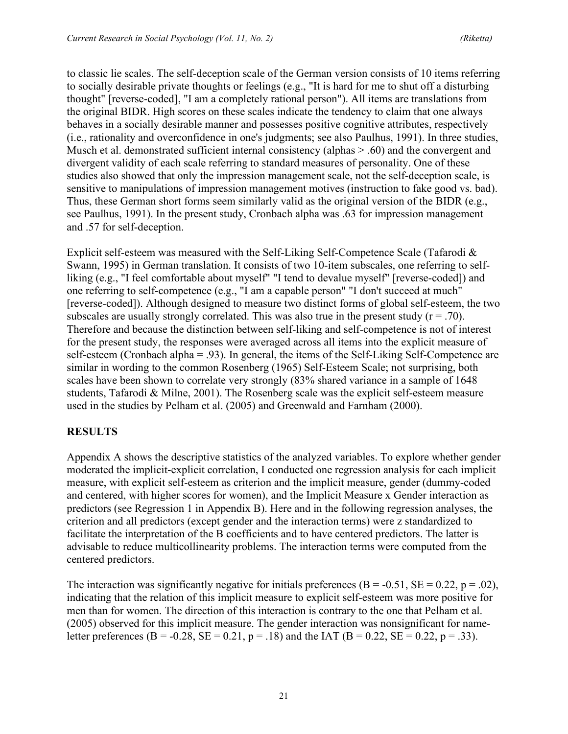to classic lie scales. The self-deception scale of the German version consists of 10 items referring to socially desirable private thoughts or feelings (e.g., "It is hard for me to shut off a disturbing thought" [reverse-coded], "I am a completely rational person"). All items are translations from the original BIDR. High scores on these scales indicate the tendency to claim that one always behaves in a socially desirable manner and possesses positive cognitive attributes, respectively (i.e., rationality and overconfidence in one's judgments; see also Paulhus, 1991). In three studies, Musch et al. demonstrated sufficient internal consistency (alphas  $> 0.60$ ) and the convergent and divergent validity of each scale referring to standard measures of personality. One of these studies also showed that only the impression management scale, not the self-deception scale, is sensitive to manipulations of impression management motives (instruction to fake good vs. bad). Thus, these German short forms seem similarly valid as the original version of the BIDR (e.g., see Paulhus, 1991). In the present study, Cronbach alpha was .63 for impression management and .57 for self-deception.

Explicit self-esteem was measured with the Self-Liking Self-Competence Scale (Tafarodi & Swann, 1995) in German translation. It consists of two 10-item subscales, one referring to selfliking (e.g., "I feel comfortable about myself" "I tend to devalue myself" [reverse-coded]) and one referring to self-competence (e.g., "I am a capable person" "I don't succeed at much" [reverse-coded]). Although designed to measure two distinct forms of global self-esteem, the two subscales are usually strongly correlated. This was also true in the present study  $(r = .70)$ . Therefore and because the distinction between self-liking and self-competence is not of interest for the present study, the responses were averaged across all items into the explicit measure of self-esteem (Cronbach alpha = .93). In general, the items of the Self-Liking Self-Competence are similar in wording to the common Rosenberg (1965) Self-Esteem Scale; not surprising, both scales have been shown to correlate very strongly (83% shared variance in a sample of 1648 students, Tafarodi & Milne, 2001). The Rosenberg scale was the explicit self-esteem measure used in the studies by Pelham et al. (2005) and Greenwald and Farnham (2000).

# **RESULTS**

Appendix A shows the descriptive statistics of the analyzed variables. To explore whether gender moderated the implicit-explicit correlation, I conducted one regression analysis for each implicit measure, with explicit self-esteem as criterion and the implicit measure, gender (dummy-coded and centered, with higher scores for women), and the Implicit Measure x Gender interaction as predictors (see Regression 1 in Appendix B). Here and in the following regression analyses, the criterion and all predictors (except gender and the interaction terms) were z standardized to facilitate the interpretation of the B coefficients and to have centered predictors. The latter is advisable to reduce multicollinearity problems. The interaction terms were computed from the centered predictors.

The interaction was significantly negative for initials preferences (B = -0.51, SE = 0.22, p = .02), indicating that the relation of this implicit measure to explicit self-esteem was more positive for men than for women. The direction of this interaction is contrary to the one that Pelham et al. (2005) observed for this implicit measure. The gender interaction was nonsignificant for nameletter preferences (B = -0.28, SE = 0.21, p = .18) and the IAT (B = 0.22, SE = 0.22, p = .33).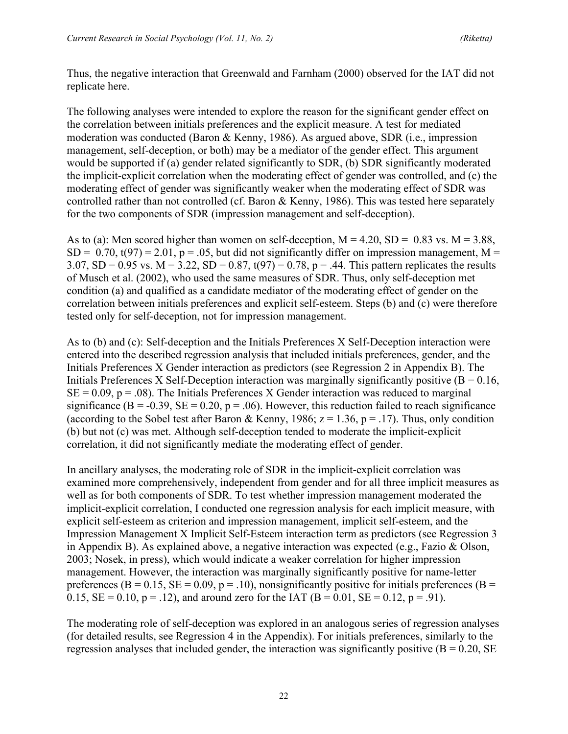Thus, the negative interaction that Greenwald and Farnham (2000) observed for the IAT did not replicate here.

The following analyses were intended to explore the reason for the significant gender effect on the correlation between initials preferences and the explicit measure. A test for mediated moderation was conducted (Baron & Kenny, 1986). As argued above, SDR (i.e., impression management, self-deception, or both) may be a mediator of the gender effect. This argument would be supported if (a) gender related significantly to SDR, (b) SDR significantly moderated the implicit-explicit correlation when the moderating effect of gender was controlled, and (c) the moderating effect of gender was significantly weaker when the moderating effect of SDR was controlled rather than not controlled (cf. Baron & Kenny, 1986). This was tested here separately for the two components of SDR (impression management and self-deception).

As to (a): Men scored higher than women on self-deception,  $M = 4.20$ ,  $SD = 0.83$  vs.  $M = 3.88$ ,  $SD = 0.70$ ,  $t(97) = 2.01$ ,  $p = .05$ , but did not significantly differ on impression management, M = 3.07, SD = 0.95 vs. M = 3.22, SD = 0.87,  $t(97) = 0.78$ ,  $p = .44$ . This pattern replicates the results of Musch et al. (2002), who used the same measures of SDR. Thus, only self-deception met condition (a) and qualified as a candidate mediator of the moderating effect of gender on the correlation between initials preferences and explicit self-esteem. Steps (b) and (c) were therefore tested only for self-deception, not for impression management.

As to (b) and (c): Self-deception and the Initials Preferences X Self-Deception interaction were entered into the described regression analysis that included initials preferences, gender, and the Initials Preferences X Gender interaction as predictors (see Regression 2 in Appendix B). The Initials Preferences X Self-Deception interaction was marginally significantly positive  $(B = 0.16,$  $SE = 0.09$ ,  $p = .08$ ). The Initials Preferences X Gender interaction was reduced to marginal significance ( $B = -0.39$ ,  $SE = 0.20$ ,  $p = .06$ ). However, this reduction failed to reach significance (according to the Sobel test after Baron & Kenny, 1986;  $z = 1.36$ ,  $p = .17$ ). Thus, only condition (b) but not (c) was met. Although self-deception tended to moderate the implicit-explicit correlation, it did not significantly mediate the moderating effect of gender.

In ancillary analyses, the moderating role of SDR in the implicit-explicit correlation was examined more comprehensively, independent from gender and for all three implicit measures as well as for both components of SDR. To test whether impression management moderated the implicit-explicit correlation, I conducted one regression analysis for each implicit measure, with explicit self-esteem as criterion and impression management, implicit self-esteem, and the Impression Management X Implicit Self-Esteem interaction term as predictors (see Regression 3 in Appendix B). As explained above, a negative interaction was expected (e.g., Fazio & Olson, 2003; Nosek, in press), which would indicate a weaker correlation for higher impression management. However, the interaction was marginally significantly positive for name-letter preferences (B = 0.15, SE = 0.09, p = .10), nonsignificantly positive for initials preferences (B = 0.15,  $SE = 0.10$ ,  $p = .12$ ), and around zero for the IAT (B = 0.01,  $SE = 0.12$ ,  $p = .91$ ).

The moderating role of self-deception was explored in an analogous series of regression analyses (for detailed results, see Regression 4 in the Appendix). For initials preferences, similarly to the regression analyses that included gender, the interaction was significantly positive  $(B = 0.20, SE)$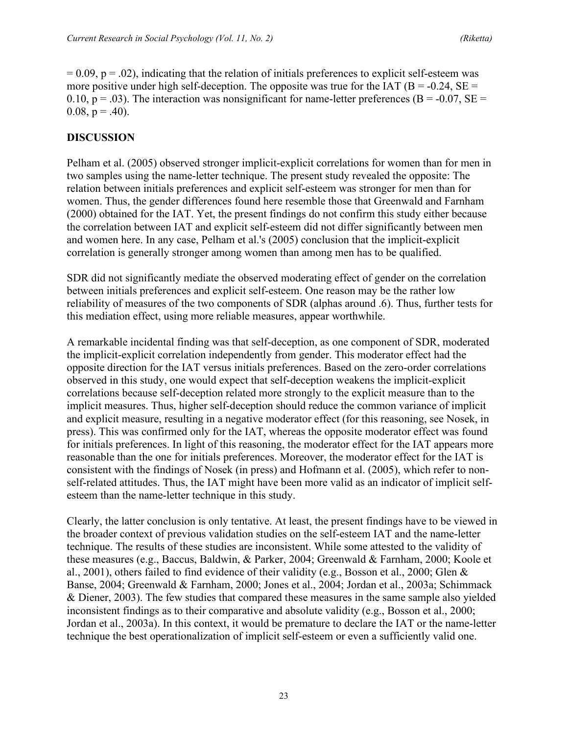$= 0.09$ ,  $p = .02$ ), indicating that the relation of initials preferences to explicit self-esteem was more positive under high self-deception. The opposite was true for the IAT ( $B = -0.24$ ,  $SE =$ 0.10,  $p = .03$ ). The interaction was nonsignificant for name-letter preferences (B = -0.07, SE =  $0.08$ ,  $p = .40$ ).

#### **DISCUSSION**

Pelham et al. (2005) observed stronger implicit-explicit correlations for women than for men in two samples using the name-letter technique. The present study revealed the opposite: The relation between initials preferences and explicit self-esteem was stronger for men than for women. Thus, the gender differences found here resemble those that Greenwald and Farnham (2000) obtained for the IAT. Yet, the present findings do not confirm this study either because the correlation between IAT and explicit self-esteem did not differ significantly between men and women here. In any case, Pelham et al.'s (2005) conclusion that the implicit-explicit correlation is generally stronger among women than among men has to be qualified.

SDR did not significantly mediate the observed moderating effect of gender on the correlation between initials preferences and explicit self-esteem. One reason may be the rather low reliability of measures of the two components of SDR (alphas around .6). Thus, further tests for this mediation effect, using more reliable measures, appear worthwhile.

A remarkable incidental finding was that self-deception, as one component of SDR, moderated the implicit-explicit correlation independently from gender. This moderator effect had the opposite direction for the IAT versus initials preferences. Based on the zero-order correlations observed in this study, one would expect that self-deception weakens the implicit-explicit correlations because self-deception related more strongly to the explicit measure than to the implicit measures. Thus, higher self-deception should reduce the common variance of implicit and explicit measure, resulting in a negative moderator effect (for this reasoning, see Nosek, in press). This was confirmed only for the IAT, whereas the opposite moderator effect was found for initials preferences. In light of this reasoning, the moderator effect for the IAT appears more reasonable than the one for initials preferences. Moreover, the moderator effect for the IAT is consistent with the findings of Nosek (in press) and Hofmann et al. (2005), which refer to nonself-related attitudes. Thus, the IAT might have been more valid as an indicator of implicit selfesteem than the name-letter technique in this study.

Clearly, the latter conclusion is only tentative. At least, the present findings have to be viewed in the broader context of previous validation studies on the self-esteem IAT and the name-letter technique. The results of these studies are inconsistent. While some attested to the validity of these measures (e.g., Baccus, Baldwin, & Parker, 2004; Greenwald & Farnham, 2000; Koole et al., 2001), others failed to find evidence of their validity (e.g., Bosson et al., 2000; Glen & Banse, 2004; Greenwald & Farnham, 2000; Jones et al., 2004; Jordan et al., 2003a; Schimmack & Diener, 2003). The few studies that compared these measures in the same sample also yielded inconsistent findings as to their comparative and absolute validity (e.g., Bosson et al., 2000; Jordan et al., 2003a). In this context, it would be premature to declare the IAT or the name-letter technique the best operationalization of implicit self-esteem or even a sufficiently valid one.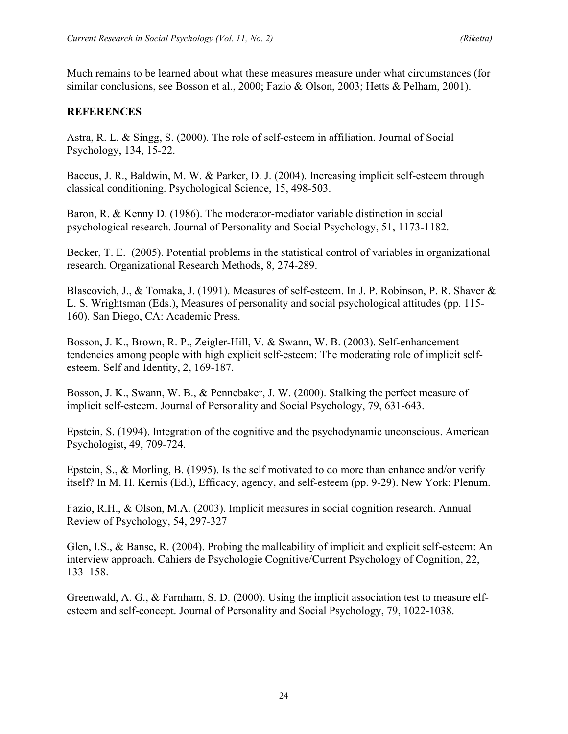Much remains to be learned about what these measures measure under what circumstances (for similar conclusions, see Bosson et al., 2000; Fazio & Olson, 2003; Hetts & Pelham, 2001).

#### **REFERENCES**

Astra, R. L. & Singg, S. (2000). The role of self-esteem in affiliation. Journal of Social Psychology, 134, 15-22.

Baccus, J. R., Baldwin, M. W. & Parker, D. J. (2004). Increasing implicit self-esteem through classical conditioning. Psychological Science, 15, 498-503.

Baron, R. & Kenny D. (1986). The moderator-mediator variable distinction in social psychological research. Journal of Personality and Social Psychology, 51, 1173-1182.

Becker, T. E. (2005). Potential problems in the statistical control of variables in organizational research. Organizational Research Methods, 8, 274-289.

Blascovich, J., & Tomaka, J. (1991). Measures of self-esteem. In J. P. Robinson, P. R. Shaver & L. S. Wrightsman (Eds.), Measures of personality and social psychological attitudes (pp. 115- 160). San Diego, CA: Academic Press.

Bosson, J. K., Brown, R. P., Zeigler-Hill, V. & Swann, W. B. (2003). Self-enhancement tendencies among people with high explicit self-esteem: The moderating role of implicit selfesteem. Self and Identity, 2, 169-187.

Bosson, J. K., Swann, W. B., & Pennebaker, J. W. (2000). Stalking the perfect measure of implicit self-esteem. Journal of Personality and Social Psychology, 79, 631-643.

Epstein, S. (1994). Integration of the cognitive and the psychodynamic unconscious. American Psychologist, 49, 709-724.

Epstein, S., & Morling, B. (1995). Is the self motivated to do more than enhance and/or verify itself? In M. H. Kernis (Ed.), Efficacy, agency, and self-esteem (pp. 9-29). New York: Plenum.

Fazio, R.H., & Olson, M.A. (2003). Implicit measures in social cognition research. Annual Review of Psychology, 54, 297-327

Glen, I.S., & Banse, R. (2004). Probing the malleability of implicit and explicit self-esteem: An interview approach. Cahiers de Psychologie Cognitive/Current Psychology of Cognition, 22, 133–158.

Greenwald, A. G., & Farnham, S. D. (2000). Using the implicit association test to measure elfesteem and self-concept. Journal of Personality and Social Psychology, 79, 1022-1038.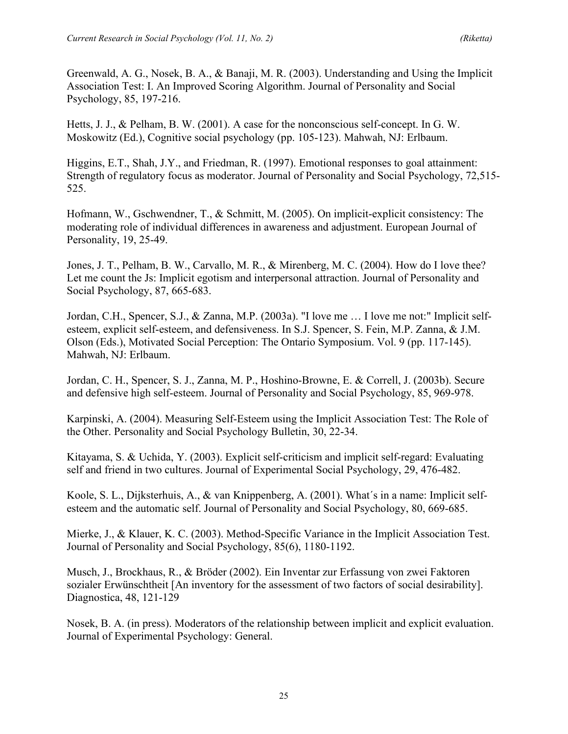Greenwald, A. G., Nosek, B. A., & Banaji, M. R. (2003). Understanding and Using the Implicit Association Test: I. An Improved Scoring Algorithm. Journal of Personality and Social Psychology, 85, 197-216.

Hetts, J. J., & Pelham, B. W. (2001). A case for the nonconscious self-concept. In G. W. Moskowitz (Ed.), Cognitive social psychology (pp. 105-123). Mahwah, NJ: Erlbaum.

Higgins, E.T., Shah, J.Y., and Friedman, R. (1997). Emotional responses to goal attainment: Strength of regulatory focus as moderator. Journal of Personality and Social Psychology, 72,515- 525.

Hofmann, W., Gschwendner, T., & Schmitt, M. (2005). On implicit-explicit consistency: The moderating role of individual differences in awareness and adjustment. European Journal of Personality, 19, 25-49.

Jones, J. T., Pelham, B. W., Carvallo, M. R., & Mirenberg, M. C. (2004). How do I love thee? Let me count the Js: Implicit egotism and interpersonal attraction. Journal of Personality and Social Psychology, 87, 665-683.

Jordan, C.H., Spencer, S.J., & Zanna, M.P. (2003a). "I love me … I love me not:" Implicit selfesteem, explicit self-esteem, and defensiveness. In S.J. Spencer, S. Fein, M.P. Zanna, & J.M. Olson (Eds.), Motivated Social Perception: The Ontario Symposium. Vol. 9 (pp. 117-145). Mahwah, NJ: Erlbaum.

Jordan, C. H., Spencer, S. J., Zanna, M. P., Hoshino-Browne, E. & Correll, J. (2003b). Secure and defensive high self-esteem. Journal of Personality and Social Psychology, 85, 969-978.

Karpinski, A. (2004). Measuring Self-Esteem using the Implicit Association Test: The Role of the Other. Personality and Social Psychology Bulletin, 30, 22-34.

Kitayama, S. & Uchida, Y. (2003). Explicit self-criticism and implicit self-regard: Evaluating self and friend in two cultures. Journal of Experimental Social Psychology, 29, 476-482.

Koole, S. L., Dijksterhuis, A., & van Knippenberg, A. (2001). What´s in a name: Implicit selfesteem and the automatic self. Journal of Personality and Social Psychology, 80, 669-685.

Mierke, J., & Klauer, K. C. (2003). Method-Specific Variance in the Implicit Association Test. Journal of Personality and Social Psychology, 85(6), 1180-1192.

Musch, J., Brockhaus, R., & Bröder (2002). Ein Inventar zur Erfassung von zwei Faktoren sozialer Erwünschtheit [An inventory for the assessment of two factors of social desirability]. Diagnostica, 48, 121-129

Nosek, B. A. (in press). Moderators of the relationship between implicit and explicit evaluation. Journal of Experimental Psychology: General.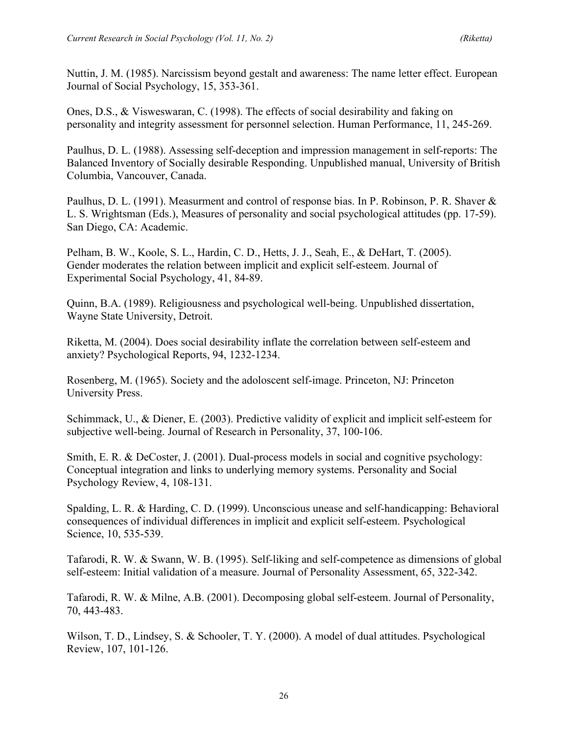Nuttin, J. M. (1985). Narcissism beyond gestalt and awareness: The name letter effect. European Journal of Social Psychology, 15, 353-361.

Ones, D.S., & Visweswaran, C. (1998). The effects of social desirability and faking on personality and integrity assessment for personnel selection. Human Performance, 11, 245-269.

Paulhus, D. L. (1988). Assessing self-deception and impression management in self-reports: The Balanced Inventory of Socially desirable Responding. Unpublished manual, University of British Columbia, Vancouver, Canada.

Paulhus, D. L. (1991). Measurment and control of response bias. In P. Robinson, P. R. Shaver & L. S. Wrightsman (Eds.), Measures of personality and social psychological attitudes (pp. 17-59). San Diego, CA: Academic.

Pelham, B. W., Koole, S. L., Hardin, C. D., Hetts, J. J., Seah, E., & DeHart, T. (2005). Gender moderates the relation between implicit and explicit self-esteem. Journal of Experimental Social Psychology, 41, 84-89.

Quinn, B.A. (1989). Religiousness and psychological well-being. Unpublished dissertation, Wayne State University, Detroit.

Riketta, M. (2004). Does social desirability inflate the correlation between self-esteem and anxiety? Psychological Reports, 94, 1232-1234.

Rosenberg, M. (1965). Society and the adoloscent self-image. Princeton, NJ: Princeton University Press.

Schimmack, U., & Diener, E. (2003). Predictive validity of explicit and implicit self-esteem for subjective well-being. Journal of Research in Personality, 37, 100-106.

Smith, E. R. & DeCoster, J. (2001). Dual-process models in social and cognitive psychology: Conceptual integration and links to underlying memory systems. Personality and Social Psychology Review, 4, 108-131.

Spalding, L. R. & Harding, C. D. (1999). Unconscious unease and self-handicapping: Behavioral consequences of individual differences in implicit and explicit self-esteem. Psychological Science, 10, 535-539.

Tafarodi, R. W. & Swann, W. B. (1995). Self-liking and self-competence as dimensions of global self-esteem: Initial validation of a measure. Journal of Personality Assessment, 65, 322-342.

Tafarodi, R. W. & Milne, A.B. (2001). Decomposing global self-esteem. Journal of Personality, 70, 443-483.

Wilson, T. D., Lindsey, S. & Schooler, T. Y. (2000). A model of dual attitudes. Psychological Review, 107, 101-126.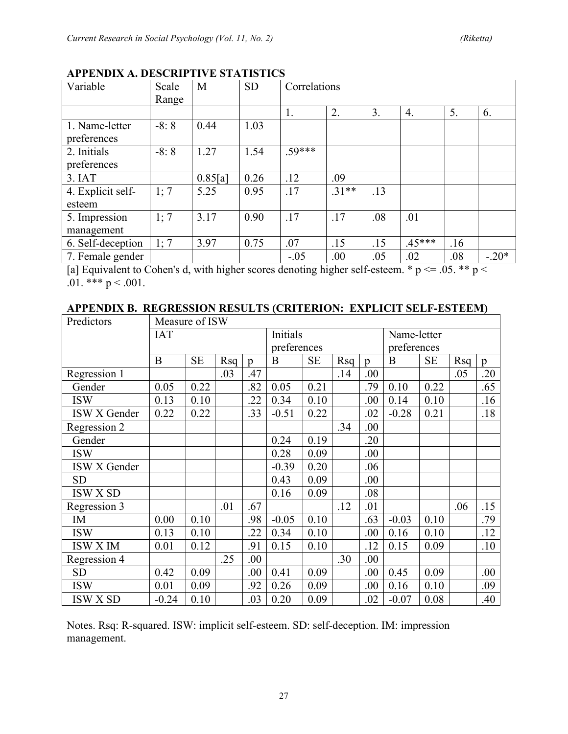| Variable          | Scale  | M       | <b>SD</b> | Correlations |         |     |                  |     |         |  |  |
|-------------------|--------|---------|-----------|--------------|---------|-----|------------------|-----|---------|--|--|
|                   | Range  |         |           |              |         |     |                  |     |         |  |  |
|                   |        |         |           | 1.           | 2.      | 3.  | $\overline{4}$ . | 5.  | 6.      |  |  |
| 1. Name-letter    | $-8:8$ | 0.44    | 1.03      |              |         |     |                  |     |         |  |  |
| preferences       |        |         |           |              |         |     |                  |     |         |  |  |
| 2. Initials       | $-8:8$ | 1.27    | 1.54      | $.59***$     |         |     |                  |     |         |  |  |
| preferences       |        |         |           |              |         |     |                  |     |         |  |  |
| 3. IAT            |        | 0.85[a] | 0.26      | .12          | .09     |     |                  |     |         |  |  |
| 4. Explicit self- | 1; 7   | 5.25    | 0.95      | .17          | $.31**$ | .13 |                  |     |         |  |  |
| esteem            |        |         |           |              |         |     |                  |     |         |  |  |
| 5. Impression     | 1:7    | 3.17    | 0.90      | .17          | .17     | .08 | .01              |     |         |  |  |
| management        |        |         |           |              |         |     |                  |     |         |  |  |
| 6. Self-deception | 1:7    | 3.97    | 0.75      | .07          | .15     | .15 | $.45***$         | .16 |         |  |  |
| 7. Female gender  |        |         |           | $-.05$       | .00     | .05 | .02              | .08 | $-.20*$ |  |  |

# **APPENDIX A. DESCRIPTIVE STATISTICS**

[a] Equivalent to Cohen's d, with higher scores denoting higher self-esteem.  $* p \le 0.05$ .  $** p \le 0.05$ .01. \*\*\*  $p < .001$ .

## **APPENDIX B. REGRESSION RESULTS (CRITERION: EXPLICIT SELF-ESTEEM)**

| Predictors      | Measure of ISW |           |          |                |             |           |             |                |             |           |     |     |
|-----------------|----------------|-----------|----------|----------------|-------------|-----------|-------------|----------------|-------------|-----------|-----|-----|
|                 | <b>IAT</b>     |           | Initials |                |             |           | Name-letter |                |             |           |     |     |
|                 |                |           |          |                | preferences |           |             |                | preferences |           |     |     |
|                 | B              | <b>SE</b> | Rsq      | $\mathfrak{p}$ | B           | <b>SE</b> | Rsq         | $\mathfrak{v}$ | B           | <b>SE</b> | Rsq | p   |
| Regression 1    |                |           | .03      | .47            |             |           | .14         | .00            |             |           | .05 | .20 |
| Gender          | 0.05           | 0.22      |          | .82            | 0.05        | 0.21      |             | .79            | 0.10        | 0.22      |     | .65 |
| <b>ISW</b>      | 0.13           | 0.10      |          | .22            | 0.34        | 0.10      |             | .00            | 0.14        | 0.10      |     | .16 |
| ISW X Gender    | 0.22           | 0.22      |          | .33            | $-0.51$     | 0.22      |             | .02            | $-0.28$     | 0.21      |     | .18 |
| Regression 2    |                |           |          |                |             |           | .34         | .00            |             |           |     |     |
| Gender          |                |           |          |                | 0.24        | 0.19      |             | .20            |             |           |     |     |
| <b>ISW</b>      |                |           |          |                | 0.28        | 0.09      |             | .00            |             |           |     |     |
| ISW X Gender    |                |           |          |                | $-0.39$     | 0.20      |             | .06            |             |           |     |     |
| <b>SD</b>       |                |           |          |                | 0.43        | 0.09      |             | .00            |             |           |     |     |
| ISW X SD        |                |           |          |                | 0.16        | 0.09      |             | .08            |             |           |     |     |
| Regression 3    |                |           | .01      | .67            |             |           | .12         | .01            |             |           | .06 | .15 |
| IM              | 0.00           | 0.10      |          | .98            | $-0.05$     | 0.10      |             | .63            | $-0.03$     | 0.10      |     | .79 |
| <b>ISW</b>      | 0.13           | 0.10      |          | .22            | 0.34        | 0.10      |             | .00.           | 0.16        | 0.10      |     | .12 |
| ISW X IM        | 0.01           | 0.12      |          | .91            | 0.15        | 0.10      |             | .12            | 0.15        | 0.09      |     | .10 |
| Regression 4    |                |           | .25      | .00            |             |           | .30         | .00            |             |           |     |     |
| <b>SD</b>       | 0.42           | 0.09      |          | .00            | 0.41        | 0.09      |             | .00            | 0.45        | 0.09      |     | .00 |
| <b>ISW</b>      | 0.01           | 0.09      |          | .92            | 0.26        | 0.09      |             | .00            | 0.16        | 0.10      |     | .09 |
| <b>ISW X SD</b> | $-0.24$        | 0.10      |          | .03            | 0.20        | 0.09      |             | .02            | $-0.07$     | 0.08      |     | .40 |

Notes. Rsq: R-squared. ISW: implicit self-esteem. SD: self-deception. IM: impression management.